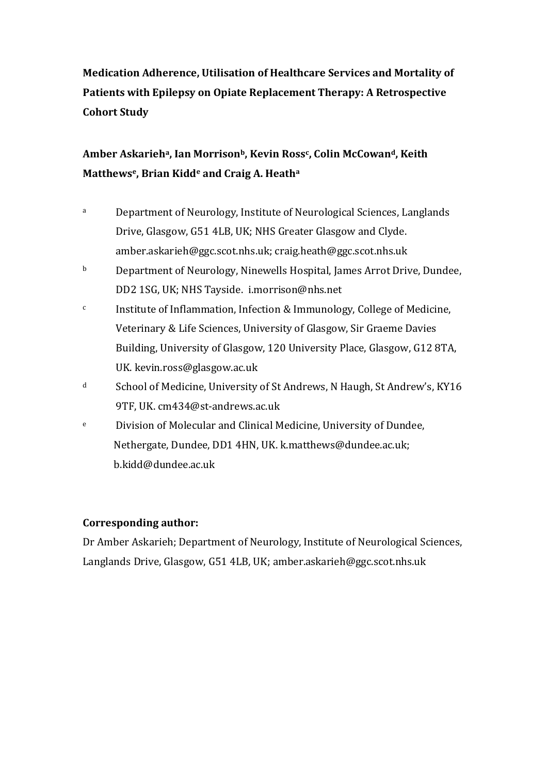# **Medication Adherence, Utilisation of Healthcare Services and Mortality of Patients with Epilepsy on Opiate Replacement Therapy: A Retrospective Cohort Study**

# **Amber Askarieha, Ian Morrisonb, Kevin Ross<sup>c</sup> , Colin McCowand, Keith Matthewse, Brian Kidd<sup>e</sup> and Craig A. Heath<sup>a</sup>**

- a Department of Neurology, Institute of Neurological Sciences, Langlands Drive, Glasgow, G51 4LB, UK; NHS Greater Glasgow and Clyde. [amber.askarieh@ggc.scot.nhs.uk;](mailto:amber.askarieh@ggc.scot.nhs.uk) craig.heath@ggc.scot.nhs.uk
- b Department of Neurology, Ninewells Hospital, James Arrot Drive, Dundee, DD2 1SG, UK; NHS Tayside. [i.morrison@nhs.net](mailto:i.morrison@nhs.net)
- $c$  Institute of Inflammation, Infection & Immunology, College of Medicine, Veterinary & Life Sciences, University of Glasgow, Sir Graeme Davies Building, University of Glasgow, 120 University Place, Glasgow, G12 8TA, UK. kevin.ross@glasgow.ac.uk
- <sup>d</sup> School of Medicine, University of St Andrews, N Haugh, St Andrew's, KY16 9TF, UK[. cm434@st-andrews.ac.uk](mailto:cm434@st-andrews.ac.uk)
- <sup>e</sup> Division of Molecular and Clinical Medicine, University of Dundee, Nethergate, Dundee, DD1 4HN, UK. [k.matthews@dundee.ac.uk;](mailto:k.matthews@dundee.ac.uk) b.kidd@dundee.ac.uk

### **Corresponding author:**

Dr Amber Askarieh; Department of Neurology, Institute of Neurological Sciences, Langlands Drive, Glasgow, G51 4LB, UK[; amber.askarieh@ggc.scot.nhs.uk](mailto:amber.askarieh@ggc.scot.nhs.uk)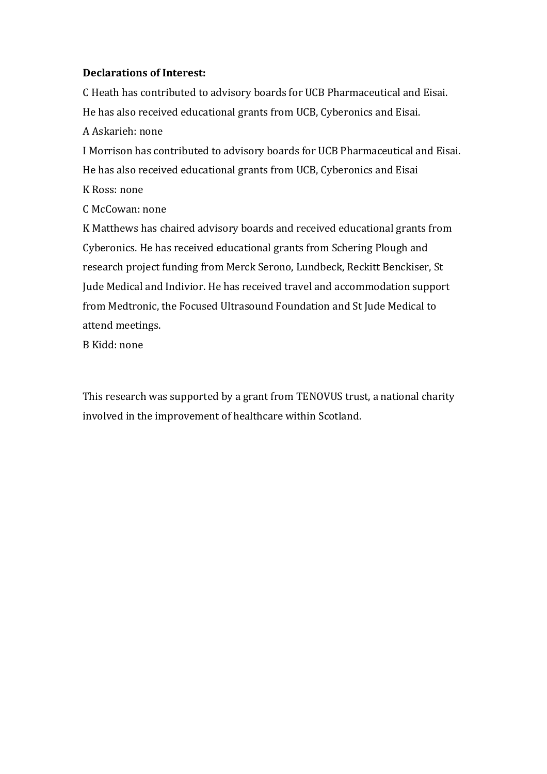### **Declarations of Interest:**

C Heath has contributed to advisory boards for UCB Pharmaceutical and Eisai. He has also received educational grants from UCB, Cyberonics and Eisai.

A Askarieh: none

I Morrison has contributed to advisory boards for UCB Pharmaceutical and Eisai. He has also received educational grants from UCB, Cyberonics and Eisai K Ross: none

C McCowan: none

K Matthews has chaired advisory boards and received educational grants from Cyberonics. He has received educational grants from Schering Plough and research project funding from Merck Serono, Lundbeck, Reckitt Benckiser, St Jude Medical and Indivior. He has received travel and accommodation support from Medtronic, the Focused Ultrasound Foundation and St Jude Medical to attend meetings.

B Kidd: none

This research was supported by a grant from TENOVUS trust, a national charity involved in the improvement of healthcare within Scotland.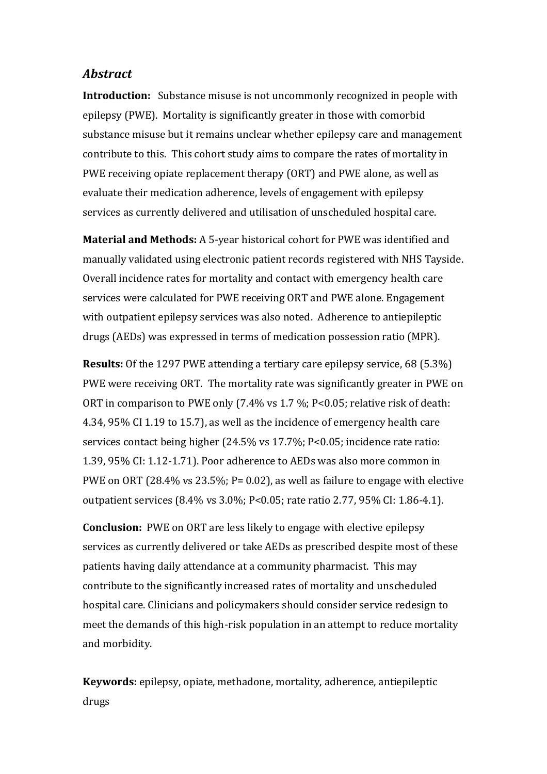#### *Abstract*

**Introduction:** Substance misuse is not uncommonly recognized in people with epilepsy (PWE). Mortality is significantly greater in those with comorbid substance misuse but it remains unclear whether epilepsy care and management contribute to this. This cohort study aims to compare the rates of mortality in PWE receiving opiate replacement therapy (ORT) and PWE alone, as well as evaluate their medication adherence, levels of engagement with epilepsy services as currently delivered and utilisation of unscheduled hospital care.

**Material and Methods:** A 5-year historical cohort for PWE was identified and manually validated using electronic patient records registered with NHS Tayside. Overall incidence rates for mortality and contact with emergency health care services were calculated for PWE receiving ORT and PWE alone. Engagement with outpatient epilepsy services was also noted. Adherence to antiepileptic drugs (AEDs) was expressed in terms of medication possession ratio (MPR).

**Results:** Of the 1297 PWE attending a tertiary care epilepsy service, 68 (5.3%) PWE were receiving ORT. The mortality rate was significantly greater in PWE on ORT in comparison to PWE only (7.4% vs 1.7 %; P<0.05; relative risk of death: 4.34, 95% CI 1.19 to 15.7), as well as the incidence of emergency health care services contact being higher (24.5% vs 17.7%; P<0.05; incidence rate ratio: 1.39, 95% CI: 1.12-1.71). Poor adherence to AEDs was also more common in PWE on ORT (28.4% vs 23.5%; P= 0.02), as well as failure to engage with elective outpatient services (8.4% vs 3.0%; P<0.05; rate ratio 2.77, 95% CI: 1.86-4.1).

**Conclusion:** PWE on ORT are less likely to engage with elective epilepsy services as currently delivered or take AEDs as prescribed despite most of these patients having daily attendance at a community pharmacist. This may contribute to the significantly increased rates of mortality and unscheduled hospital care. Clinicians and policymakers should consider service redesign to meet the demands of this high-risk population in an attempt to reduce mortality and morbidity.

**Keywords:** epilepsy, opiate, methadone, mortality, adherence, antiepileptic drugs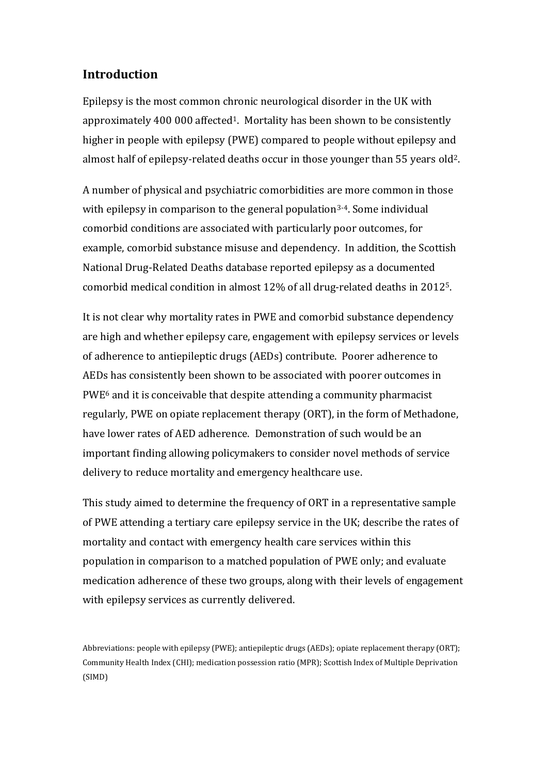# **Introduction**

Epilepsy is the most common chronic neurological disorder in the UK with approximately 400 000 affected<sup>1</sup>. Mortality has been shown to be consistently higher in people with epilepsy (PWE) compared to people without epilepsy and almost half of epilepsy-related deaths occur in those younger than 55 years old2.

A number of physical and psychiatric comorbidities are more common in those with epilepsy in comparison to the general population<sup>3-4</sup>. Some individual comorbid conditions are associated with particularly poor outcomes, for example, comorbid substance misuse and dependency. In addition, the Scottish National Drug-Related Deaths database reported epilepsy as a documented comorbid medical condition in almost 12% of all drug-related deaths in 20125.

It is not clear why mortality rates in PWE and comorbid substance dependency are high and whether epilepsy care, engagement with epilepsy services or levels of adherence to antiepileptic drugs (AEDs) contribute. Poorer adherence to AEDs has consistently been shown to be associated with poorer outcomes in PWE<sup>6</sup> and it is conceivable that despite attending a community pharmacist regularly, PWE on opiate replacement therapy (ORT), in the form of Methadone, have lower rates of AED adherence. Demonstration of such would be an important finding allowing policymakers to consider novel methods of service delivery to reduce mortality and emergency healthcare use.

This study aimed to determine the frequency of ORT in a representative sample of PWE attending a tertiary care epilepsy service in the UK; describe the rates of mortality and contact with emergency health care services within this population in comparison to a matched population of PWE only; and evaluate medication adherence of these two groups, along with their levels of engagement with epilepsy services as currently delivered.

Abbreviations: people with epilepsy (PWE); antiepileptic drugs (AEDs); opiate replacement therapy (ORT); Community Health Index (CHI); medication possession ratio (MPR); Scottish Index of Multiple Deprivation (SIMD)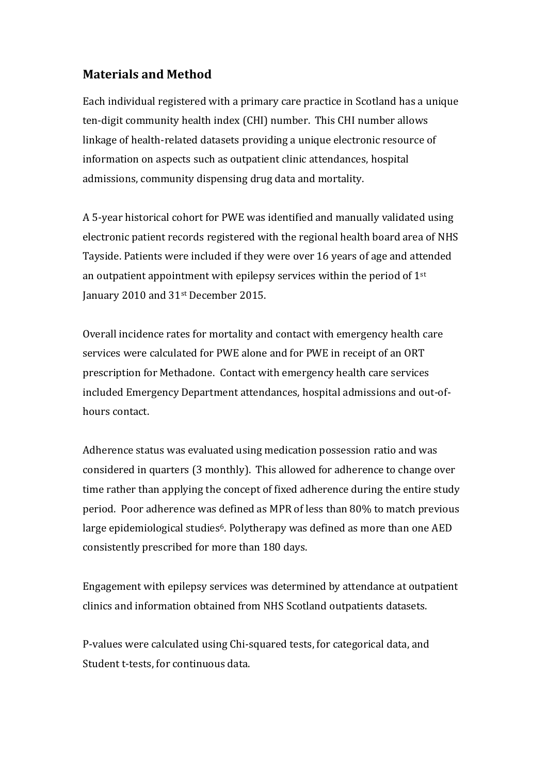# **Materials and Method**

Each individual registered with a primary care practice in Scotland has a unique ten-digit community health index (CHI) number. This CHI number allows linkage of health-related datasets providing a unique electronic resource of information on aspects such as outpatient clinic attendances, hospital admissions, community dispensing drug data and mortality.

A 5-year historical cohort for PWE was identified and manually validated using electronic patient records registered with the regional health board area of NHS Tayside. Patients were included if they were over 16 years of age and attended an outpatient appointment with epilepsy services within the period of 1st January 2010 and 31st December 2015.

Overall incidence rates for mortality and contact with emergency health care services were calculated for PWE alone and for PWE in receipt of an ORT prescription for Methadone. Contact with emergency health care services included Emergency Department attendances, hospital admissions and out-ofhours contact.

Adherence status was evaluated using medication possession ratio and was considered in quarters (3 monthly). This allowed for adherence to change over time rather than applying the concept of fixed adherence during the entire study period. Poor adherence was defined as MPR of less than 80% to match previous large epidemiological studies<sup>6</sup>. Polytherapy was defined as more than one AED consistently prescribed for more than 180 days.

Engagement with epilepsy services was determined by attendance at outpatient clinics and information obtained from NHS Scotland outpatients datasets.

P-values were calculated using Chi-squared tests, for categorical data, and Student t-tests, for continuous data.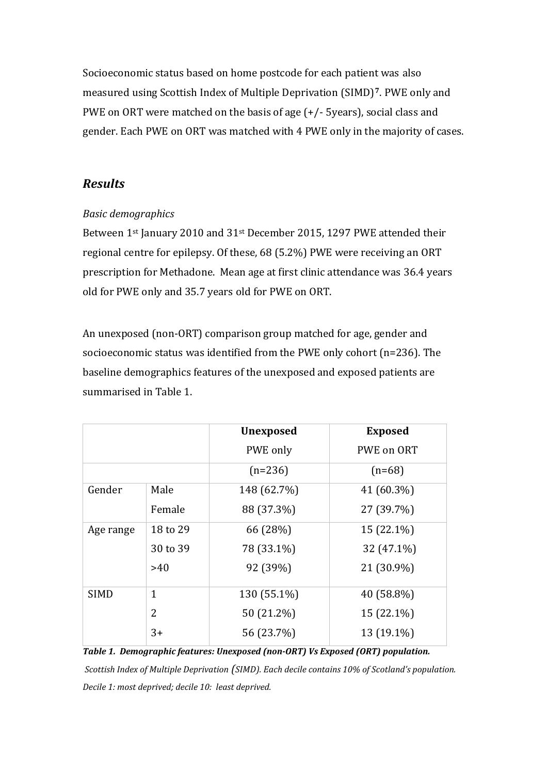Socioeconomic status based on home postcode for each patient was also measured using Scottish Index of Multiple Deprivation (SIMD)**7**. PWE only and PWE on ORT were matched on the basis of age (+/- 5years), social class and gender. Each PWE on ORT was matched with 4 PWE only in the majority of cases.

# *Results*

# *Basic demographics*

Between 1st January 2010 and 31st December 2015, 1297 PWE attended their regional centre for epilepsy. Of these, 68 (5.2%) PWE were receiving an ORT prescription for Methadone. Mean age at first clinic attendance was 36.4 years old for PWE only and 35.7 years old for PWE on ORT.

An unexposed (non-ORT) comparison group matched for age, gender and socioeconomic status was identified from the PWE only cohort (n=236). The baseline demographics features of the unexposed and exposed patients are summarised in Table 1.

|             |              | <b>Unexposed</b> | <b>Exposed</b> |
|-------------|--------------|------------------|----------------|
|             |              | PWE only         | PWE on ORT     |
|             |              | $(n=236)$        | $(n=68)$       |
| Gender      | Male         | 148 (62.7%)      | 41 (60.3%)     |
|             | Female       | 88 (37.3%)       | 27 (39.7%)     |
| Age range   | 18 to 29     | 66 (28%)         | 15 (22.1%)     |
|             | 30 to 39     | 78 (33.1%)       | 32 (47.1%)     |
|             | >40          | 92 (39%)         | 21 (30.9%)     |
| <b>SIMD</b> | $\mathbf{1}$ | 130 (55.1%)      | 40 (58.8%)     |
|             | 2            | 50 (21.2%)       | 15 (22.1%)     |
|             | $3+$         | 56 (23.7%)       | 13 (19.1%)     |

*Table 1. Demographic features: Unexposed (non-ORT) Vs Exposed (ORT) population. Scottish Index of Multiple Deprivation (SIMD). Each decile contains 10% of Scotland's population. Decile 1: most deprived; decile 10: least deprived.*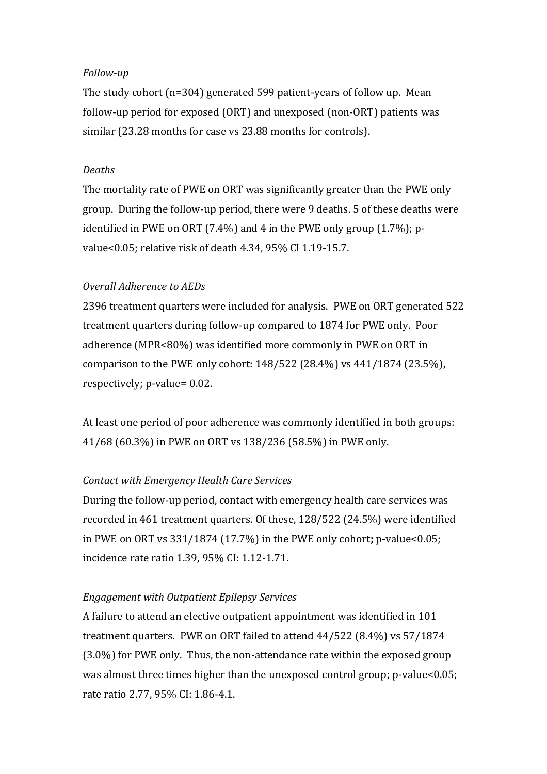#### *Follow-up*

The study cohort (n=304) generated 599 patient-years of follow up. Mean follow-up period for exposed (ORT) and unexposed (non-ORT) patients was similar (23.28 months for case vs 23.88 months for controls).

#### *Deaths*

The mortality rate of PWE on ORT was significantly greater than the PWE only group. During the follow-up period, there were 9 deaths. 5 of these deaths were identified in PWE on ORT (7.4%) and 4 in the PWE only group (1.7%); pvalue<0.05; relative risk of death 4.34, 95% CI 1.19-15.7.

#### *Overall Adherence to AEDs*

2396 treatment quarters were included for analysis. PWE on ORT generated 522 treatment quarters during follow-up compared to 1874 for PWE only. Poor adherence (MPR<80%) was identified more commonly in PWE on ORT in comparison to the PWE only cohort: 148/522 (28.4%) vs 441/1874 (23.5%), respectively; p-value= 0.02.

At least one period of poor adherence was commonly identified in both groups: 41/68 (60.3%) in PWE on ORT vs 138/236 (58.5%) in PWE only.

#### *Contact with Emergency Health Care Services*

During the follow-up period, contact with emergency health care services was recorded in 461 treatment quarters. Of these, 128/522 (24.5%) were identified in PWE on ORT vs 331/1874 (17.7%) in the PWE only cohort**;** p-value<0.05; incidence rate ratio 1.39, 95% CI: 1.12-1.71.

#### *Engagement with Outpatient Epilepsy Services*

A failure to attend an elective outpatient appointment was identified in 101 treatment quarters. PWE on ORT failed to attend 44/522 (8.4%) vs 57/1874 (3.0%) for PWE only. Thus, the non-attendance rate within the exposed group was almost three times higher than the unexposed control group; p-value<0.05; rate ratio 2.77, 95% CI: 1.86-4.1.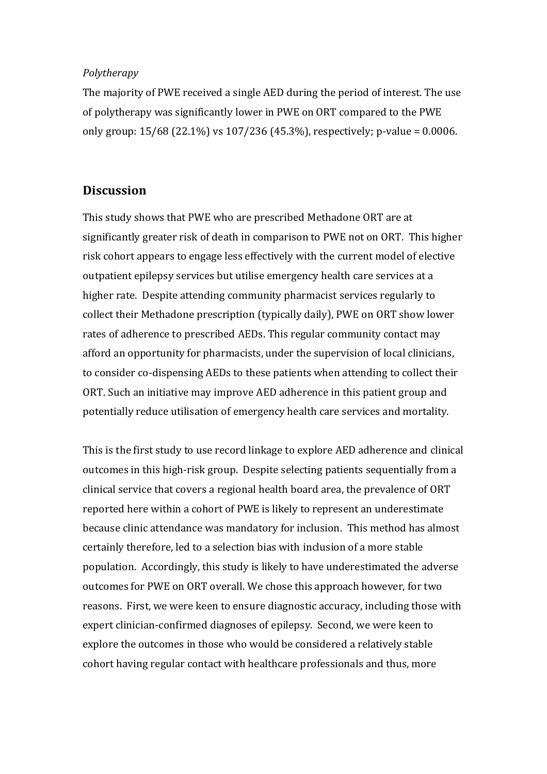#### *Polytherapy*

The majority of PWE received a single AED during the period of interest. The use of polytherapy was significantly lower in PWE on ORT compared to the PWE only group: 15/68 (22.1%) vs 107/236 (45.3%), respectively; p-value = 0.0006.

# **Discussion**

This study shows that PWE who are prescribed Methadone ORT are at significantly greater risk of death in comparison to PWE not on ORT. This higher risk cohort appears to engage less effectively with the current model of elective outpatient epilepsy services but utilise emergency health care services at a higher rate. Despite attending community pharmacist services regularly to collect their Methadone prescription (typically daily), PWE on ORT show lower rates of adherence to prescribed AEDs. This regular community contact may afford an opportunity for pharmacists, under the supervision of local clinicians, to consider co-dispensing AEDs to these patients when attending to collect their ORT. Such an initiative may improve AED adherence in this patient group and potentially reduce utilisation of emergency health care services and mortality.

This is the first study to use record linkage to explore AED adherence and clinical outcomes in this high-risk group. Despite selecting patients sequentially from a clinical service that covers a regional health board area, the prevalence of ORT reported here within a cohort of PWE is likely to represent an underestimate because clinic attendance was mandatory for inclusion. This method has almost certainly therefore, led to a selection bias with inclusion of a more stable population.Accordingly, this study is likely to have underestimated the adverse outcomes for PWE on ORT overall. We chose this approach however, for two reasons. First, we were keen to ensure diagnostic accuracy, including those with expert clinician-confirmed diagnoses of epilepsy. Second, we were keen to explore the outcomes in those who would be considered a relatively stable cohort having regular contact with healthcare professionals and thus, more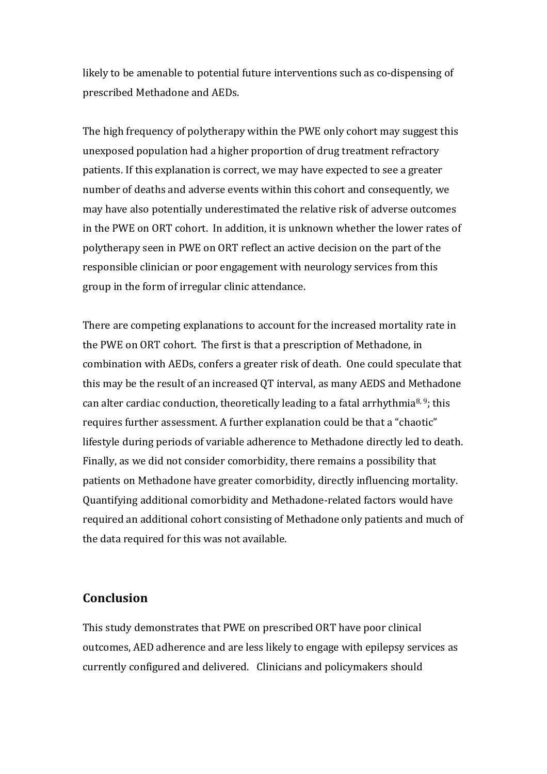likely to be amenable to potential future interventions such as co-dispensing of prescribed Methadone and AEDs.

The high frequency of polytherapy within the PWE only cohort may suggest this unexposed population had a higher proportion of drug treatment refractory patients. If this explanation is correct, we may have expected to see a greater number of deaths and adverse events within this cohort and consequently, we may have also potentially underestimated the relative risk of adverse outcomes in the PWE on ORT cohort. In addition, it is unknown whether the lower rates of polytherapy seen in PWE on ORT reflect an active decision on the part of the responsible clinician or poor engagement with neurology services from this group in the form of irregular clinic attendance.

There are competing explanations to account for the increased mortality rate in the PWE on ORT cohort. The first is that a prescription of Methadone, in combination with AEDs, confers a greater risk of death. One could speculate that this may be the result of an increased QT interval, as many AEDS and Methadone can alter cardiac conduction, theoretically leading to a fatal arrhythmia<sup>8, 9</sup>; this requires further assessment. A further explanation could be that a "chaotic" lifestyle during periods of variable adherence to Methadone directly led to death. Finally, as we did not consider comorbidity, there remains a possibility that patients on Methadone have greater comorbidity, directly influencing mortality. Quantifying additional comorbidity and Methadone-related factors would have required an additional cohort consisting of Methadone only patients and much of the data required for this was not available.

### **Conclusion**

This study demonstrates that PWE on prescribed ORT have poor clinical outcomes, AED adherence and are less likely to engage with epilepsy services as currently configured and delivered. Clinicians and policymakers should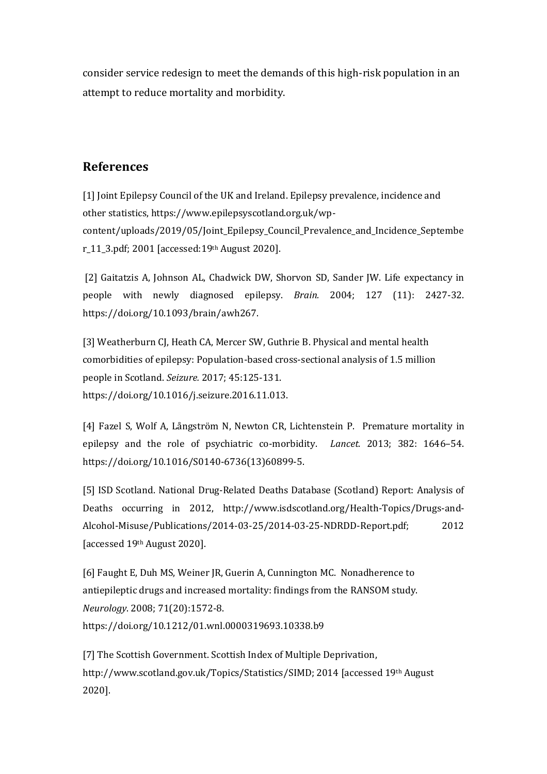consider service redesign to meet the demands of this high-risk population in an attempt to reduce mortality and morbidity.

# **References**

[1] Joint Epilepsy Council of the UK and Ireland. Epilepsy prevalence, incidence and other statistics, https://www.epilepsyscotland.org.uk/wpcontent/uploads/2019/05/Joint\_Epilepsy\_Council\_Prevalence\_and\_Incidence\_Septembe r\_11\_3.pdf; 2001 [accessed:19th August 2020].

[2] Gaitatzis A, Johnson AL, Chadwick DW, Shorvon SD, Sander JW. Life expectancy in people with newly diagnosed epilepsy. *Brain.* 2004; 127 (11): 2427-32. https://doi.org/10.1093/brain/awh267.

[3] Weatherburn CJ, Heath CA, Mercer SW, Guthrie B. Physical and mental health comorbidities of epilepsy: Population-based cross-sectional analysis of 1.5 million people in Scotland. *Seizure.* 2017; 45:125-131. [https://doi.org/10.1016/j.seizure.2016.11.013.](https://doi.org/10.1016/j.seizure.2016.11.013)

[4] Fazel S, Wolf A, Långström N, Newton CR, Lichtenstein P. Premature mortality in epilepsy and the role of psychiatric co-morbidity. *Lancet.* 2013; 382: 1646–54. https://doi.org/10.1016/S0140-6736(13)60899-5.

[5] ISD Scotland. National Drug-Related Deaths Database (Scotland) Report: Analysis of Deaths occurring in 2012, [http://www.isdscotland.org/Health-Topics/Drugs-and-](http://www.isdscotland.org/Health-Topics/Drugs-and-Alcohol-Misuse/Publications/2014-03-25/2014-03-25-NDRDD-Report.pdf)[Alcohol-Misuse/Publications/2014-03-25/2014-03-25-NDRDD-Report.pdf;](http://www.isdscotland.org/Health-Topics/Drugs-and-Alcohol-Misuse/Publications/2014-03-25/2014-03-25-NDRDD-Report.pdf) 2012 [accessed 19th August 2020].

[6] Faught E, Duh MS, Weiner JR, Guerin A, Cunnington MC. Nonadherence to antiepileptic drugs and increased mortality: findings from the RANSOM study. *Neurology*. 2008; 71(20):1572-8. https://doi.org/10.1212/01.wnl.0000319693.10338.b9

[7] The Scottish Government. Scottish Index of Multiple Deprivation, [http://www.scotland.gov.uk/Topics/Statistics/SIMD;](http://www.scotland.gov.uk/Topics/Statistics/SIMD) 2014 [accessed 19th August 2020].